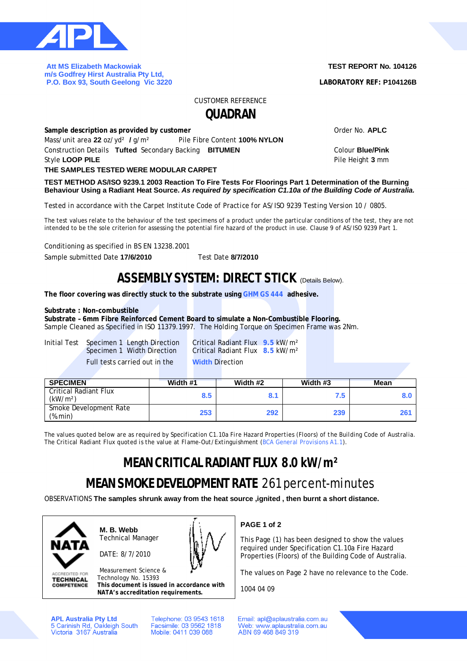

 **Att MS Elizabeth Mackowiak m/s Godfrey Hirst Australia Pty Ltd, P.O. Box 93, South Geelong Vic 3220** 

### **TEST REPORT No. 104126**

**LABORATORY REF: P104126B**

CUSTOMER REFERENCE

**QUADRAN**

| Sample description as provided by customer              | Order No. APLC                |                         |
|---------------------------------------------------------|-------------------------------|-------------------------|
| Mass/unit area 22 oz/yd <sup>2</sup> / g/m <sup>2</sup> | Pile Fibre Content 100% NYLON |                         |
| Construction Details Tufted Secondary Backing BITUMEN   |                               | Colour <b>Blue/Pink</b> |
| Style LOOP PILE                                         |                               | Pile Height 3 mm        |
| THE SAMPLES TESTED WERE MODULAR CARPET                  |                               |                         |

**TEST METHOD AS/ISO 9239.1 2003 Reaction To Fire Tests For Floorings Part 1 Determination of the Burning Behaviour Using a Radiant Heat Source.** *As required by specification C1.10a of the Building Code of Australia.*

*Tested in accordance with the Carpet Institute Code of Practice for AS/ISO 9239 Testing Version 10 / 0805.*

The test values relate to the behaviour of the test specimens of a product under the particular conditions of the test, they are not intended to be the sole criterion for assessing the potential fire hazard of the product in use. Clause 9 of AS/ISO 9239 Part 1.

Conditioning as specified in BS EN 13238.2001

Sample submitted Date **17/6/2010** Test Date **8/7/2010**

### **ASSEMBLY SYSTEM: DIRECT STICK** (Details Below).

**The floor covering was directly stuck to the substrate using GHM GS 444 adhesive.**

#### **Substrate : Non-combustible**

**Substrate – 6mm Fibre Reinforced Cement Board to simulate a Non-Combustible Flooring.**

Sample Cleaned as Specified in ISO 11379.1997. The Holding Torque on Specimen Frame was 2Nm.

Initial Test Specimen 1 Length Direction Critical Radiant Flux **9.5** kW/m² Full tests carried out in the **Width** Direction

Critical Radiant Flux **8.5** kW/m<sup>2</sup>

| <b>SPECIMEN</b>                               | Width #1 | Width #2 | Width #3 | <b>Mean</b> |
|-----------------------------------------------|----------|----------|----------|-------------|
| Critical Radiant Flux<br>(kW/m <sup>2</sup> ) | 8.5      | 8.1      | 7.5.     |             |
| Smoke Development Rate<br>(%.min)             | 253      | 292      | 239      |             |

*The values quoted below are as required by Specification C1.10a Fire Hazard Properties (Floors) of the Building Code of Australia. The Critical Radiant Flux quoted is the value at Flame-Out/Extinguishment (BCA General Provisions A1.1).*

# **MEAN CRITICAL RADIANT FLUX 8.0 kW/m²**

# **MEAN SMOKE DEVELOPMENT RATE** 261 percent-minutes

OBSERVATIONS **The samples shrunk away from the heat source ,ignited , then burnt a short distance.**



**ACCREDITED FOR TECHNICAL COMPETENCE**  **M. B. Webb** Technical Manager

DATE: 8/7/2010



Measurement Science & Technology No. 15393 **This document is issued in accordance with**

**NATA's accreditation requirements.**

**APL Australia Pty Ltd** 5 Carinish Rd, Oakleigh South<br>Victoria 3167 Australia Telephone: 03 9543 1618 Facsimile: 03 9562 1818 Mobile: 0411 039 088

**PAGE 1 of 2**

This Page (1) has been designed to show the values required under Specification C1.10a Fire Hazard Properties (Floors) of the Building Code of Australia.

The values on Page 2 have no relevance to the Code.

1004 04 09

Email: apl@aplaustralia.com.au Web: www.aplaustralia.com.au ABN 69 468 849 319